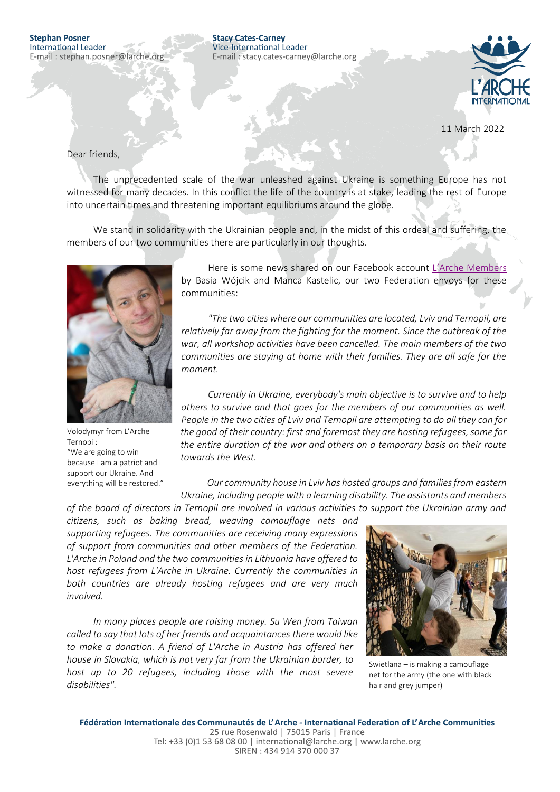## **Stephan Posner** International Leader E-mail: stephan.posner@larche.org

**Stacy Cates-Carney** Vice-International Leader E-mail: stacy.cates-carney@larche.org



11 March 2022

## Dear friends,

The unprecedented scale of the war unleashed against Ukraine is something Europe has not witnessed for many decades. In this conflict the life of the country is at stake, leading the rest of Europe into uncertain times and threatening important equilibriums around the globe.

We stand in solidarity with the Ukrainian people and, in the midst of this ordeal and suffering, the members of our two communities there are particularly in our thoughts.



Volodymyr from L'Arche Ternopil: "We are going to win because I am a patriot and I support our Ukraine. And everything will be restored."

Here is some news shared on our Facebook account [L'Arche Members](https://www.facebook.com/groups/568999989964835/) by Basia Wójcik and Manca Kastelic, our two Federation envoys for these communities:

*"The two cities where our communities are located, Lviv and Ternopil, are relatively far away from the fighting for the moment. Since the outbreak of the war, all workshop activities have been cancelled. The main members of the two communities are staying at home with their families. They are all safe for the moment.*

*Currently in Ukraine, everybody's main objective is to survive and to help others to survive and that goes for the members of our communities as well. People in the two cities of Lviv and Ternopil are attempting to do all they can for the good of their country: first and foremost they are hosting refugees, some for the entire duration of the war and others on a temporary basis on their route towards the West.*

*Our community house in Lviv has hosted groups and families from eastern Ukraine, including people with a learning disability. The assistants and members of the board of directors in Ternopil are involved in various activities to support the Ukrainian army and* 

*citizens, such as baking bread, weaving camouflage nets and supporting refugees. The communities are receiving many expressions of support from communities and other members of the Federation. L'Arche in Poland and the two communities in Lithuania have offered to host refugees from L'Arche in Ukraine. Currently the communities in both countries are already hosting refugees and are very much involved.*

*In many places people are raising money. Su Wen from Taiwan called to say that lots of her friends and acquaintances there would like to make a donation. A friend of L'Arche in Austria has offered her house in Slovakia, which is not very far from the Ukrainian border, to host up to 20 refugees, including those with the most severe disabilities".*



Swietlana – is making a camouflage net for the army (the one with black hair and grey jumper)